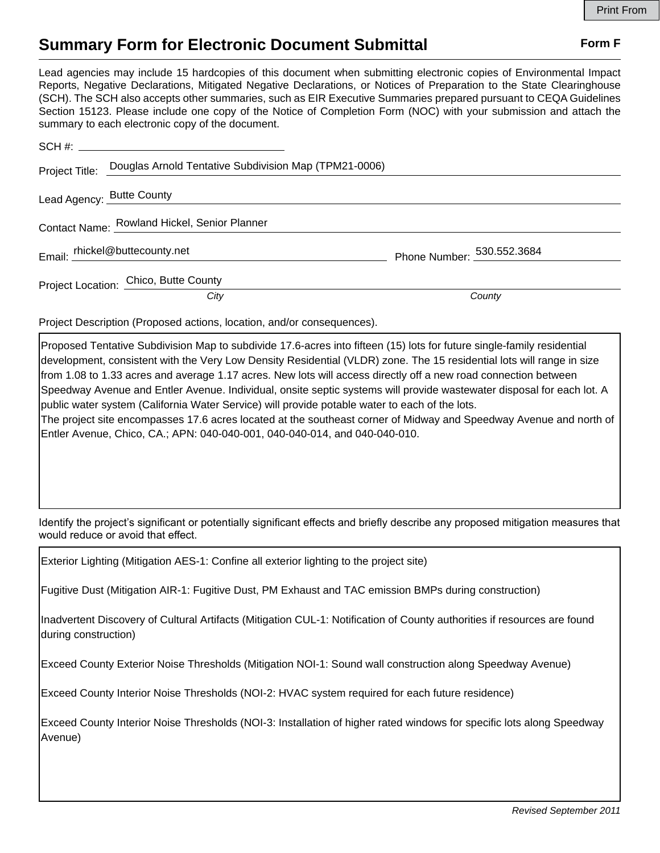## **Summary Form for Electronic Document Submittal Form F Form F**

Lead agencies may include 15 hardcopies of this document when submitting electronic copies of Environmental Impact Reports, Negative Declarations, Mitigated Negative Declarations, or Notices of Preparation to the State Clearinghouse (SCH). The SCH also accepts other summaries, such as EIR Executive Summaries prepared pursuant to CEQA Guidelines Section 15123. Please include one copy of the Notice of Completion Form (NOC) with your submission and attach the summary to each electronic copy of the document.

| Project Title: Douglas Arnold Tentative Subdivision Map (TPM21-0006) |                            |
|----------------------------------------------------------------------|----------------------------|
| Lead Agency: Butte County<br>Lead Agency: Butte County               |                            |
| Contact Name: Rowland Hickel, Senior Planner                         |                            |
| Email: rhickel@buttecounty.net                                       | Phone Number: 530.552.3684 |
| Project Location: Chico, Butte County                                |                            |
| City                                                                 | County                     |

Project Description (Proposed actions, location, and/or consequences).

Proposed Tentative Subdivision Map to subdivide 17.6-acres into fifteen (15) lots for future single-family residential development, consistent with the Very Low Density Residential (VLDR) zone. The 15 residential lots will range in size from 1.08 to 1.33 acres and average 1.17 acres. New lots will access directly off a new road connection between Speedway Avenue and Entler Avenue. Individual, onsite septic systems will provide wastewater disposal for each lot. A public water system (California Water Service) will provide potable water to each of the lots. The project site encompasses 17.6 acres located at the southeast corner of Midway and Speedway Avenue and north of Entler Avenue, Chico, CA.; APN: 040-040-001, 040-040-014, and 040-040-010.

Identify the project's significant or potentially significant effects and briefly describe any proposed mitigation measures that would reduce or avoid that effect.

Exterior Lighting (Mitigation AES-1: Confine all exterior lighting to the project site)

Fugitive Dust (Mitigation AIR-1: Fugitive Dust, PM Exhaust and TAC emission BMPs during construction)

Inadvertent Discovery of Cultural Artifacts (Mitigation CUL-1: Notification of County authorities if resources are found during construction)

Exceed County Exterior Noise Thresholds (Mitigation NOI-1: Sound wall construction along Speedway Avenue)

Exceed County Interior Noise Thresholds (NOI-2: HVAC system required for each future residence)

Exceed County Interior Noise Thresholds (NOI-3: Installation of higher rated windows for specific lots along Speedway Avenue)